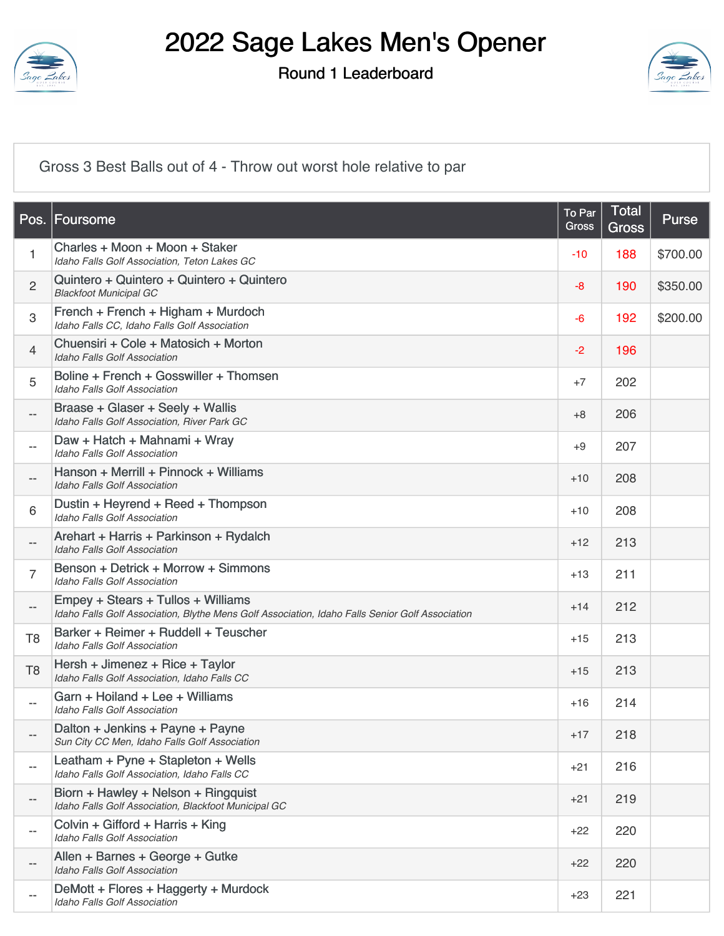

Round 1 Leaderboard



[Gross 3 Best Balls out of 4 - Throw out worst hole relative to par](https://static.golfgenius.com/v2tournaments/8474968737949172097?called_from=&round_index=1)

| Pos.                     | Foursome                                                                                                                              | To Par<br>Gross | Total<br><b>Gross</b> | Purse    |
|--------------------------|---------------------------------------------------------------------------------------------------------------------------------------|-----------------|-----------------------|----------|
| 1                        | Charles + Moon + Moon + Staker<br>Idaho Falls Golf Association, Teton Lakes GC                                                        | -10             | 188                   | \$700.00 |
| $\mathbf{2}$             | Quintero + Quintero + Quintero + Quintero<br><b>Blackfoot Municipal GC</b>                                                            | $-8$            | 190                   | \$350.00 |
| $\,3$                    | French + French + Higham + Murdoch<br>Idaho Falls CC, Idaho Falls Golf Association                                                    | $-6$            | 192                   | \$200.00 |
| $\overline{4}$           | Chuensiri + Cole + Matosich + Morton<br><b>Idaho Falls Golf Association</b>                                                           | $-2$            | 196                   |          |
| 5                        | Boline + French + Gosswiller + Thomsen<br><b>Idaho Falls Golf Association</b>                                                         | $+7$            | 202                   |          |
| $- -$                    | Braase + Glaser + Seely + Wallis<br>Idaho Falls Golf Association, River Park GC                                                       | $+8$            | 206                   |          |
| $\overline{\phantom{a}}$ | Daw + Hatch + Mahnami + Wray<br><b>Idaho Falls Golf Association</b>                                                                   | $+9$            | 207                   |          |
| --                       | Hanson + Merrill + Pinnock + Williams<br><b>Idaho Falls Golf Association</b>                                                          | $+10$           | 208                   |          |
| 6                        | Dustin + Heyrend + Reed + Thompson<br><b>Idaho Falls Golf Association</b>                                                             | $+10$           | 208                   |          |
| --                       | Arehart + Harris + Parkinson + Rydalch<br><b>Idaho Falls Golf Association</b>                                                         | $+12$           | 213                   |          |
| $\overline{7}$           | Benson + Detrick + Morrow + Simmons<br><b>Idaho Falls Golf Association</b>                                                            | $+13$           | 211                   |          |
| $\overline{\phantom{a}}$ | Empey + Stears + Tullos + Williams<br>Idaho Falls Golf Association, Blythe Mens Golf Association, Idaho Falls Senior Golf Association | $+14$           | 212                   |          |
| T <sub>8</sub>           | Barker + Reimer + Ruddell + Teuscher<br><b>Idaho Falls Golf Association</b>                                                           | $+15$           | 213                   |          |
| T <sub>8</sub>           | Hersh + Jimenez + Rice + Taylor<br>Idaho Falls Golf Association, Idaho Falls CC                                                       | $+15$           | 213                   |          |
| $\overline{\phantom{a}}$ | Garn + Hoiland + Lee + Williams<br><b>Idaho Falls Golf Association</b>                                                                | $+16$           | 214                   |          |
|                          | Dalton + Jenkins + Payne + Payne<br>Sun City CC Men, Idaho Falls Golf Association                                                     | $+17$           | 218                   |          |
| --                       | Leatham + Pyne + Stapleton + Wells<br>Idaho Falls Golf Association, Idaho Falls CC                                                    | $+21$           | 216                   |          |
| --                       | Biorn + Hawley + Nelson + Ringquist<br>Idaho Falls Golf Association, Blackfoot Municipal GC                                           | $+21$           | 219                   |          |
| --                       | Colvin + Gifford + Harris + King<br><b>Idaho Falls Golf Association</b>                                                               | $+22$           | 220                   |          |
|                          | Allen + Barnes + George + Gutke<br><b>Idaho Falls Golf Association</b>                                                                | $+22$           | 220                   |          |
| --                       | DeMott + Flores + Haggerty + Murdock<br>Idaho Falls Golf Association                                                                  | $+23$           | 221                   |          |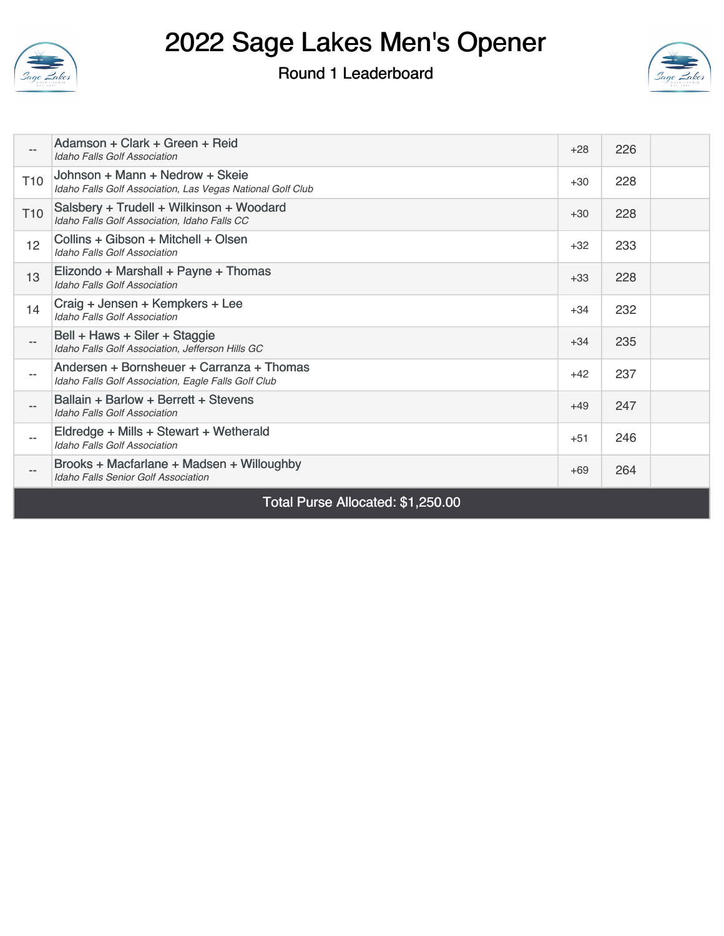

#### Round 1 Leaderboard



| Total Purse Allocated: \$1,250.00 |                                                                                                  |       |     |  |
|-----------------------------------|--------------------------------------------------------------------------------------------------|-------|-----|--|
|                                   | Brooks + Macfarlane + Madsen + Willoughby<br><b>Idaho Falls Senior Golf Association</b>          | $+69$ | 264 |  |
|                                   | Eldredge + Mills + Stewart + Wetherald<br><b>Idaho Falls Golf Association</b>                    | $+51$ | 246 |  |
| $- -$                             | Ballain + Barlow + Berrett + Stevens<br><b>Idaho Falls Golf Association</b>                      | $+49$ | 247 |  |
|                                   | Andersen + Bornsheuer + Carranza + Thomas<br>Idaho Falls Golf Association, Eagle Falls Golf Club | $+42$ | 237 |  |
|                                   | Bell + Haws + Siler + Staggie<br>Idaho Falls Golf Association, Jefferson Hills GC                | $+34$ | 235 |  |
| 14                                | Craig + Jensen + Kempkers + Lee<br><b>Idaho Falls Golf Association</b>                           | $+34$ | 232 |  |
| 13                                | Elizondo + Marshall + Payne + Thomas<br><b>Idaho Falls Golf Association</b>                      | $+33$ | 228 |  |
| 12                                | Collins + Gibson + Mitchell + Olsen<br><b>Idaho Falls Golf Association</b>                       | $+32$ | 233 |  |
| T <sub>10</sub>                   | Salsbery + Trudell + Wilkinson + Woodard<br>Idaho Falls Golf Association, Idaho Falls CC         | $+30$ | 228 |  |
| T <sub>10</sub>                   | Johnson + Mann + Nedrow + Skeie<br>Idaho Falls Golf Association, Las Vegas National Golf Club    | $+30$ | 228 |  |
|                                   | Adamson + Clark + Green + Reid<br><b>Idaho Falls Golf Association</b>                            | $+28$ | 226 |  |
|                                   |                                                                                                  |       |     |  |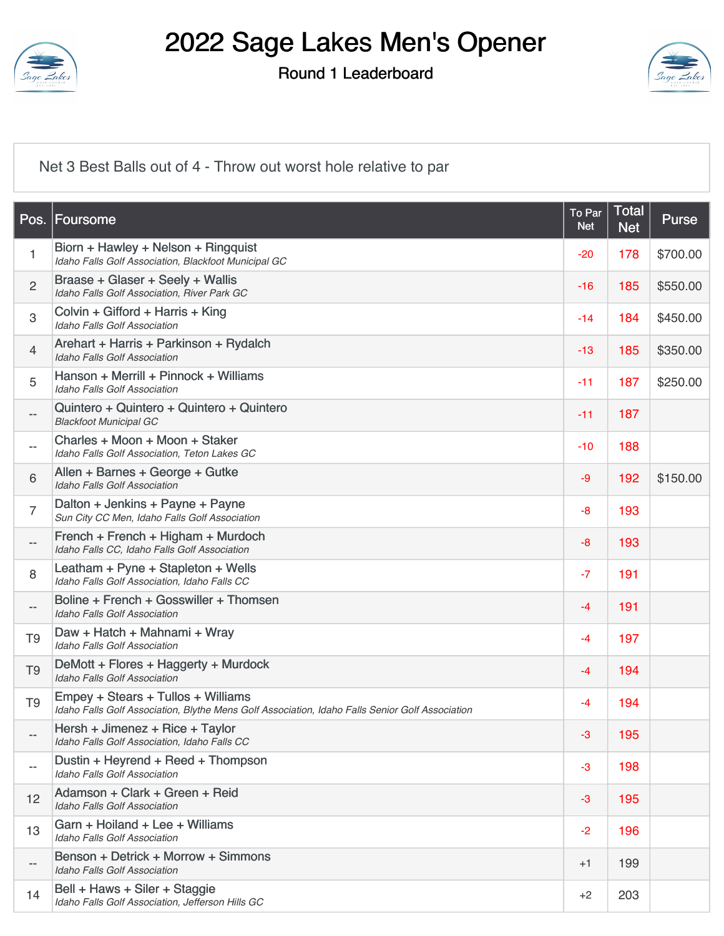

Round 1 Leaderboard



[Net 3 Best Balls out of 4 - Throw out worst hole relative to par](https://static.golfgenius.com/v2tournaments/8474968734425956736?called_from=&round_index=1)

| Pos.                     | Foursome                                                                                                                              | To Par<br><b>Net</b> | <b>Total</b><br><b>Net</b> | <b>Purse</b> |
|--------------------------|---------------------------------------------------------------------------------------------------------------------------------------|----------------------|----------------------------|--------------|
| $\mathbf{1}$             | Biorn + Hawley + Nelson + Ringquist<br>Idaho Falls Golf Association, Blackfoot Municipal GC                                           | $-20$                | 178                        | \$700.00     |
| $\overline{2}$           | Braase + Glaser + Seely + Wallis<br>Idaho Falls Golf Association, River Park GC                                                       | $-16$                | 185                        | \$550.00     |
| 3                        | Colvin + Gifford + Harris + King<br><b>Idaho Falls Golf Association</b>                                                               | $-14$                | 184                        | \$450.00     |
| $\overline{4}$           | Arehart + Harris + Parkinson + Rydalch<br>Idaho Falls Golf Association                                                                | -13                  | 185                        | \$350.00     |
| 5                        | Hanson + Merrill + Pinnock + Williams<br><b>Idaho Falls Golf Association</b>                                                          | $-11$                | 187                        | \$250.00     |
| --                       | Quintero + Quintero + Quintero + Quintero<br><b>Blackfoot Municipal GC</b>                                                            | $-11$                | 187                        |              |
| $- -$                    | Charles + Moon + Moon + Staker<br>Idaho Falls Golf Association, Teton Lakes GC                                                        | -10                  | 188                        |              |
| 6                        | Allen + Barnes + George + Gutke<br>Idaho Falls Golf Association                                                                       | $-9$                 | 192                        | \$150.00     |
| $\overline{7}$           | Dalton + Jenkins + Payne + Payne<br>Sun City CC Men, Idaho Falls Golf Association                                                     | $-8$                 | 193                        |              |
| --                       | French + French + Higham + Murdoch<br>Idaho Falls CC, Idaho Falls Golf Association                                                    | $-8$                 | 193                        |              |
| $\,8\,$                  | Leatham + Pyne + Stapleton + Wells<br>Idaho Falls Golf Association, Idaho Falls CC                                                    | $-7$                 | 191                        |              |
| $\overline{\phantom{a}}$ | Boline + French + Gosswiller + Thomsen<br>Idaho Falls Golf Association                                                                | $-4$                 | 191                        |              |
| T <sub>9</sub>           | Daw + Hatch + Mahnami + Wray<br><b>Idaho Falls Golf Association</b>                                                                   | $-4$                 | 197                        |              |
| T <sub>9</sub>           | DeMott + Flores + Haggerty + Murdock<br><b>Idaho Falls Golf Association</b>                                                           | $-4$                 | 194                        |              |
| T <sub>9</sub>           | Empey + Stears + Tullos + Williams<br>Idaho Falls Golf Association, Blythe Mens Golf Association, Idaho Falls Senior Golf Association | $-4$                 | 194                        |              |
| $- -$                    | Hersh + Jimenez + Rice + Taylor<br>Idaho Falls Golf Association, Idaho Falls CC                                                       | $-3$                 | 195                        |              |
| $- -$                    | Dustin + Heyrend + Reed + Thompson<br>Idaho Falls Golf Association                                                                    | $-3$                 | 198                        |              |
| 12                       | Adamson + Clark + Green + Reid<br><b>Idaho Falls Golf Association</b>                                                                 | $-3$                 | 195                        |              |
| 13                       | Garn + Hoiland + Lee + Williams<br><b>Idaho Falls Golf Association</b>                                                                | $-2$                 | 196                        |              |
| $- -$                    | Benson + Detrick + Morrow + Simmons<br><b>Idaho Falls Golf Association</b>                                                            | $+1$                 | 199                        |              |
| 14                       | Bell + Haws + Siler + Staggie<br>Idaho Falls Golf Association, Jefferson Hills GC                                                     | $+2$                 | 203                        |              |